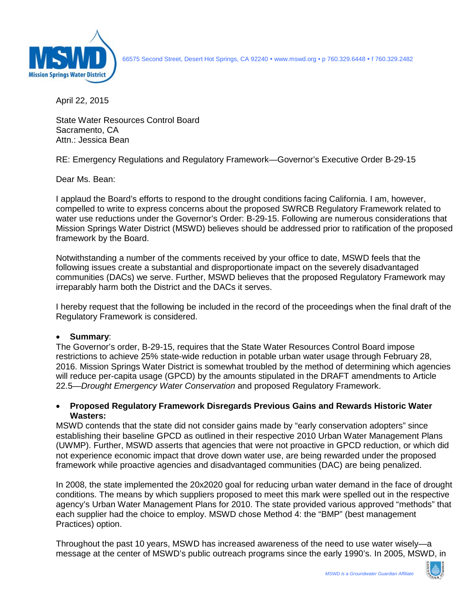

66575 Second Street, Desert Hot Springs, CA 92240 www.mswd.org • p 760.329.6448 f 760.329.2482

April 22, 2015

State Water Resources Control Board Sacramento, CA Attn.: Jessica Bean

RE: Emergency Regulations and Regulatory Framework—Governor's Executive Order B-29-15

Dear Ms. Bean:

I applaud the Board's efforts to respond to the drought conditions facing California. I am, however, compelled to write to express concerns about the proposed SWRCB Regulatory Framework related to water use reductions under the Governor's Order: B-29-15. Following are numerous considerations that Mission Springs Water District (MSWD) believes should be addressed prior to ratification of the proposed framework by the Board.

Notwithstanding a number of the comments received by your office to date, MSWD feels that the following issues create a substantial and disproportionate impact on the severely disadvantaged communities (DACs) we serve. Further, MSWD believes that the proposed Regulatory Framework may irreparably harm both the District and the DACs it serves.

I hereby request that the following be included in the record of the proceedings when the final draft of the Regulatory Framework is considered.

# • **Summary**:

The Governor's order, B-29-15, requires that the State Water Resources Control Board impose restrictions to achieve 25% state-wide reduction in potable urban water usage through February 28, 2016. Mission Springs Water District is somewhat troubled by the method of determining which agencies will reduce per-capita usage (GPCD) by the amounts stipulated in the DRAFT amendments to Article 22.5—*Drought Emergency Water Conservation* and proposed Regulatory Framework.

## • **Proposed Regulatory Framework Disregards Previous Gains and Rewards Historic Water Wasters:**

MSWD contends that the state did not consider gains made by "early conservation adopters" since establishing their baseline GPCD as outlined in their respective 2010 Urban Water Management Plans (UWMP). Further, MSWD asserts that agencies that were not proactive in GPCD reduction, or which did not experience economic impact that drove down water use, are being rewarded under the proposed framework while proactive agencies and disadvantaged communities (DAC) are being penalized.

In 2008, the state implemented the 20x2020 goal for reducing urban water demand in the face of drought conditions. The means by which suppliers proposed to meet this mark were spelled out in the respective agency's Urban Water Management Plans for 2010. The state provided various approved "methods" that each supplier had the choice to employ. MSWD chose Method 4: the "BMP" (best management Practices) option.

Throughout the past 10 years, MSWD has increased awareness of the need to use water wisely—a message at the center of MSWD's public outreach programs since the early 1990's. In 2005, MSWD, in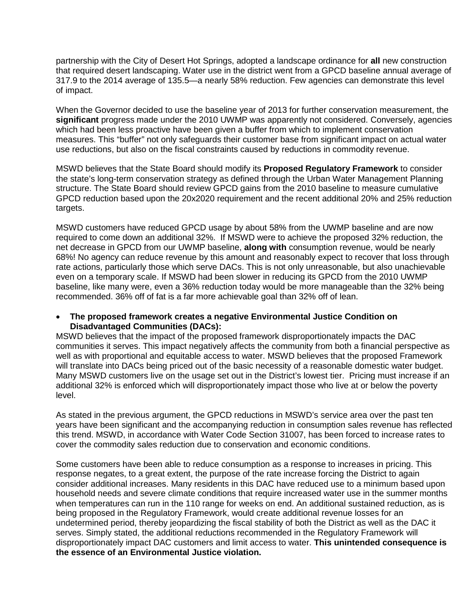partnership with the City of Desert Hot Springs, adopted a landscape ordinance for **all** new construction that required desert landscaping. Water use in the district went from a GPCD baseline annual average of 317.9 to the 2014 average of 135.5—a nearly 58% reduction. Few agencies can demonstrate this level of impact.

When the Governor decided to use the baseline year of 2013 for further conservation measurement, the **significant** progress made under the 2010 UWMP was apparently not considered. Conversely, agencies which had been less proactive have been given a buffer from which to implement conservation measures. This "buffer" not only safeguards their customer base from significant impact on actual water use reductions, but also on the fiscal constraints caused by reductions in commodity revenue.

MSWD believes that the State Board should modify its **Proposed Regulatory Framework** to consider the state's long-term conservation strategy as defined through the Urban Water Management Planning structure. The State Board should review GPCD gains from the 2010 baseline to measure cumulative GPCD reduction based upon the 20x2020 requirement and the recent additional 20% and 25% reduction targets.

MSWD customers have reduced GPCD usage by about 58% from the UWMP baseline and are now required to come down an additional 32%. If MSWD were to achieve the proposed 32% reduction, the net decrease in GPCD from our UWMP baseline, **along with** consumption revenue, would be nearly 68%! No agency can reduce revenue by this amount and reasonably expect to recover that loss through rate actions, particularly those which serve DACs. This is not only unreasonable, but also unachievable even on a temporary scale. If MSWD had been slower in reducing its GPCD from the 2010 UWMP baseline, like many were, even a 36% reduction today would be more manageable than the 32% being recommended. 36% off of fat is a far more achievable goal than 32% off of lean.

## • **The proposed framework creates a negative Environmental Justice Condition on Disadvantaged Communities (DACs):**

MSWD believes that the impact of the proposed framework disproportionately impacts the DAC communities it serves. This impact negatively affects the community from both a financial perspective as well as with proportional and equitable access to water. MSWD believes that the proposed Framework will translate into DACs being priced out of the basic necessity of a reasonable domestic water budget. Many MSWD customers live on the usage set out in the District's lowest tier. Pricing must increase if an additional 32% is enforced which will disproportionately impact those who live at or below the poverty level.

As stated in the previous argument, the GPCD reductions in MSWD's service area over the past ten years have been significant and the accompanying reduction in consumption sales revenue has reflected this trend. MSWD, in accordance with Water Code Section 31007, has been forced to increase rates to cover the commodity sales reduction due to conservation and economic conditions.

Some customers have been able to reduce consumption as a response to increases in pricing. This response negates, to a great extent, the purpose of the rate increase forcing the District to again consider additional increases. Many residents in this DAC have reduced use to a minimum based upon household needs and severe climate conditions that require increased water use in the summer months when temperatures can run in the 110 range for weeks on end. An additional sustained reduction, as is being proposed in the Regulatory Framework, would create additional revenue losses for an undetermined period, thereby jeopardizing the fiscal stability of both the District as well as the DAC it serves. Simply stated, the additional reductions recommended in the Regulatory Framework will disproportionately impact DAC customers and limit access to water. **This unintended consequence is the essence of an Environmental Justice violation.**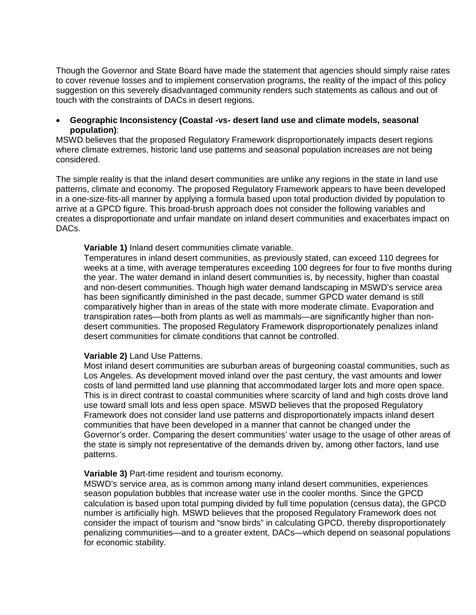Though the Governor and State Board have made the statement that agencies should simply raise rates to cover revenue losses and to implement conservation programs, the reality of the impact of this policy suggestion on this severely disadvantaged community renders such statements as callous and out of touch with the constraints of DACs in desert regions.

#### • **Geographic Inconsistency (Coastal -vs- desert land use and climate models, seasonal population)**:

MSWD believes that the proposed Regulatory Framework disproportionately impacts desert regions where climate extremes, historic land use patterns and seasonal population increases are not being considered.

The simple reality is that the inland desert communities are unlike any regions in the state in land use patterns, climate and economy. The proposed Regulatory Framework appears to have been developed in a one-size-fits-all manner by applying a formula based upon total production divided by population to arrive at a GPCD figure. This broad-brush approach does not consider the following variables and creates a disproportionate and unfair mandate on inland desert communities and exacerbates impact on DAC<sub>s</sub>

#### **Variable 1)** Inland desert communities climate variable.

Temperatures in inland desert communities, as previously stated, can exceed 110 degrees for weeks at a time, with average temperatures exceeding 100 degrees for four to five months during the year. The water demand in inland desert communities is, by necessity, higher than coastal and non-desert communities. Though high water demand landscaping in MSWD's service area has been significantly diminished in the past decade, summer GPCD water demand is still comparatively higher than in areas of the state with more moderate climate. Evaporation and transpiration rates—both from plants as well as mammals—are significantly higher than nondesert communities. The proposed Regulatory Framework disproportionately penalizes inland desert communities for climate conditions that cannot be controlled.

#### **Variable 2)** Land Use Patterns.

Most inland desert communities are suburban areas of burgeoning coastal communities, such as Los Angeles. As development moved inland over the past century, the vast amounts and lower costs of land permitted land use planning that accommodated larger lots and more open space. This is in direct contrast to coastal communities where scarcity of land and high costs drove land use toward small lots and less open space. MSWD believes that the proposed Regulatory Framework does not consider land use patterns and disproportionately impacts inland desert communities that have been developed in a manner that cannot be changed under the Governor's order. Comparing the desert communities' water usage to the usage of other areas of the state is simply not representative of the demands driven by, among other factors, land use patterns.

#### **Variable 3)** Part-time resident and tourism economy.

MSWD's service area, as is common among many inland desert communities, experiences season population bubbles that increase water use in the cooler months. Since the GPCD calculation is based upon total pumping divided by full time population (census data), the GPCD number is artificially high. MSWD believes that the proposed Regulatory Framework does not consider the impact of tourism and "snow birds" in calculating GPCD, thereby disproportionately penalizing communities—and to a greater extent, DACs—which depend on seasonal populations for economic stability.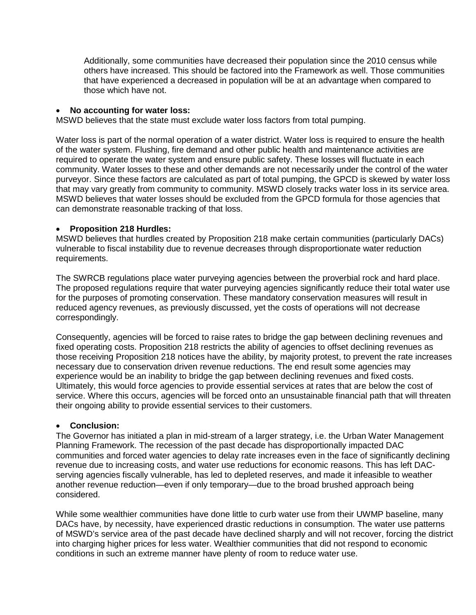Additionally, some communities have decreased their population since the 2010 census while others have increased. This should be factored into the Framework as well. Those communities that have experienced a decreased in population will be at an advantage when compared to those which have not.

### • **No accounting for water loss:**

MSWD believes that the state must exclude water loss factors from total pumping.

Water loss is part of the normal operation of a water district. Water loss is required to ensure the health of the water system. Flushing, fire demand and other public health and maintenance activities are required to operate the water system and ensure public safety. These losses will fluctuate in each community. Water losses to these and other demands are not necessarily under the control of the water purveyor. Since these factors are calculated as part of total pumping, the GPCD is skewed by water loss that may vary greatly from community to community. MSWD closely tracks water loss in its service area. MSWD believes that water losses should be excluded from the GPCD formula for those agencies that can demonstrate reasonable tracking of that loss.

## • **Proposition 218 Hurdles:**

MSWD believes that hurdles created by Proposition 218 make certain communities (particularly DACs) vulnerable to fiscal instability due to revenue decreases through disproportionate water reduction requirements.

The SWRCB regulations place water purveying agencies between the proverbial rock and hard place. The proposed regulations require that water purveying agencies significantly reduce their total water use for the purposes of promoting conservation. These mandatory conservation measures will result in reduced agency revenues, as previously discussed, yet the costs of operations will not decrease correspondingly.

Consequently, agencies will be forced to raise rates to bridge the gap between declining revenues and fixed operating costs. Proposition 218 restricts the ability of agencies to offset declining revenues as those receiving Proposition 218 notices have the ability, by majority protest, to prevent the rate increases necessary due to conservation driven revenue reductions. The end result some agencies may experience would be an inability to bridge the gap between declining revenues and fixed costs. Ultimately, this would force agencies to provide essential services at rates that are below the cost of service. Where this occurs, agencies will be forced onto an unsustainable financial path that will threaten their ongoing ability to provide essential services to their customers.

#### • **Conclusion:**

The Governor has initiated a plan in mid-stream of a larger strategy, i.e. the Urban Water Management Planning Framework. The recession of the past decade has disproportionally impacted DAC communities and forced water agencies to delay rate increases even in the face of significantly declining revenue due to increasing costs, and water use reductions for economic reasons. This has left DACserving agencies fiscally vulnerable, has led to depleted reserves, and made it infeasible to weather another revenue reduction—even if only temporary—due to the broad brushed approach being considered.

While some wealthier communities have done little to curb water use from their UWMP baseline, many DACs have, by necessity, have experienced drastic reductions in consumption. The water use patterns of MSWD's service area of the past decade have declined sharply and will not recover, forcing the district into charging higher prices for less water. Wealthier communities that did not respond to economic conditions in such an extreme manner have plenty of room to reduce water use.